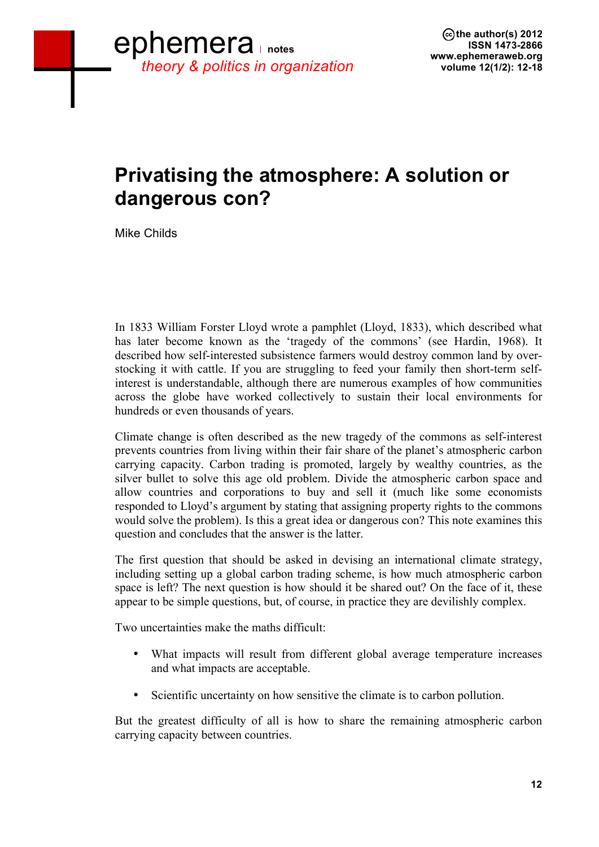# **Privatising the atmosphere: A solution or dangerous con?**

Mike Childs

In 1833 William Forster Lloyd wrote a pamphlet (Lloyd, 1833), which described what has later become known as the 'tragedy of the commons' (see Hardin, 1968). It described how self-interested subsistence farmers would destroy common land by overstocking it with cattle. If you are struggling to feed your family then short-term selfinterest is understandable, although there are numerous examples of how communities across the globe have worked collectively to sustain their local environments for hundreds or even thousands of years.

Climate change is often described as the new tragedy of the commons as self-interest prevents countries from living within their fair share of the planet's atmospheric carbon carrying capacity. Carbon trading is promoted, largely by wealthy countries, as the silver bullet to solve this age old problem. Divide the atmospheric carbon space and allow countries and corporations to buy and sell it (much like some economists responded to Lloyd's argument by stating that assigning property rights to the commons would solve the problem). Is this a great idea or dangerous con? This note examines this question and concludes that the answer is the latter.

The first question that should be asked in devising an international climate strategy, including setting up a global carbon trading scheme, is how much atmospheric carbon space is left? The next question is how should it be shared out? On the face of it, these appear to be simple questions, but, of course, in practice they are devilishly complex.

Two uncertainties make the maths difficult:

- What impacts will result from different global average temperature increases and what impacts are acceptable.
- Scientific uncertainty on how sensitive the climate is to carbon pollution.

But the greatest difficulty of all is how to share the remaining atmospheric carbon carrying capacity between countries.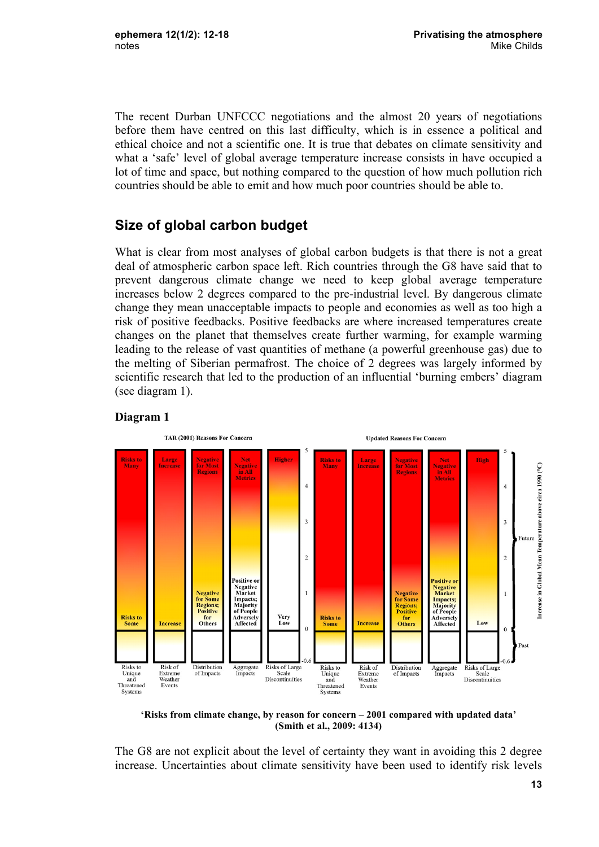The recent Durban UNFCCC negotiations and the almost 20 years of negotiations before them have centred on this last difficulty, which is in essence a political and ethical choice and not a scientific one. It is true that debates on climate sensitivity and what a 'safe' level of global average temperature increase consists in have occupied a lot of time and space, but nothing compared to the question of how much pollution rich countries should be able to emit and how much poor countries should be able to.

### **Size of global carbon budget**

What is clear from most analyses of global carbon budgets is that there is not a great deal of atmospheric carbon space left. Rich countries through the G8 have said that to prevent dangerous climate change we need to keep global average temperature increases below 2 degrees compared to the pre-industrial level. By dangerous climate change they mean unacceptable impacts to people and economies as well as too high a risk of positive feedbacks. Positive feedbacks are where increased temperatures create changes on the planet that themselves create further warming, for example warming leading to the release of vast quantities of methane (a powerful greenhouse gas) due to the melting of Siberian permafrost. The choice of 2 degrees was largely informed by scientific research that led to the production of an influential 'burning embers' diagram (see diagram 1).



#### **Diagram 1**

**'Risks from climate change, by reason for concern – 2001 compared with updated data' (Smith et al., 2009: 4134)**

The G8 are not explicit about the level of certainty they want in avoiding this 2 degree increase. Uncertainties about climate sensitivity have been used to identify risk levels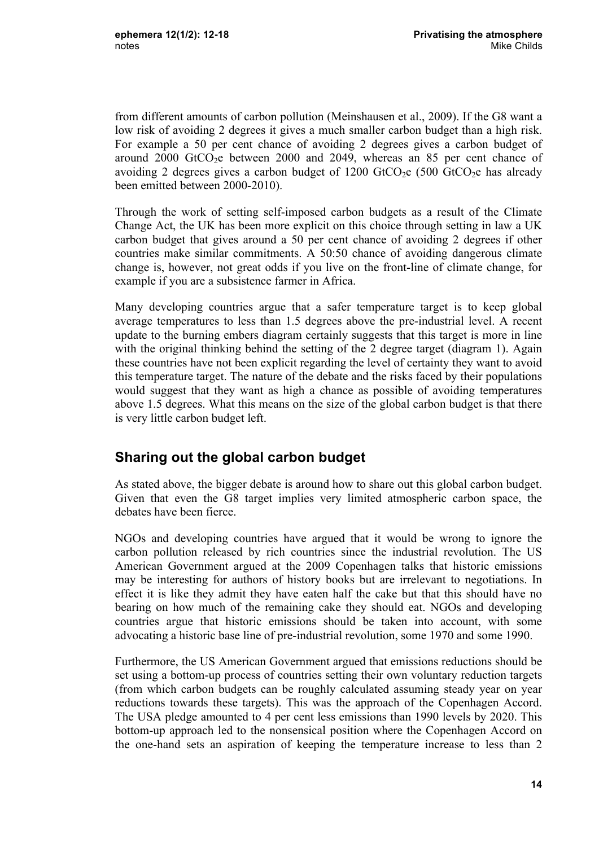from different amounts of carbon pollution (Meinshausen et al., 2009). If the G8 want a low risk of avoiding 2 degrees it gives a much smaller carbon budget than a high risk. For example a 50 per cent chance of avoiding 2 degrees gives a carbon budget of around  $2000$  GtCO<sub>2</sub>e between  $2000$  and  $2049$ , whereas an 85 per cent chance of avoiding 2 degrees gives a carbon budget of  $1200$  GtCO<sub>2</sub>e (500 GtCO<sub>2</sub>e has already been emitted between 2000-2010).

Through the work of setting self-imposed carbon budgets as a result of the Climate Change Act, the UK has been more explicit on this choice through setting in law a UK carbon budget that gives around a 50 per cent chance of avoiding 2 degrees if other countries make similar commitments. A 50:50 chance of avoiding dangerous climate change is, however, not great odds if you live on the front-line of climate change, for example if you are a subsistence farmer in Africa.

Many developing countries argue that a safer temperature target is to keep global average temperatures to less than 1.5 degrees above the pre-industrial level. A recent update to the burning embers diagram certainly suggests that this target is more in line with the original thinking behind the setting of the 2 degree target (diagram 1). Again these countries have not been explicit regarding the level of certainty they want to avoid this temperature target. The nature of the debate and the risks faced by their populations would suggest that they want as high a chance as possible of avoiding temperatures above 1.5 degrees. What this means on the size of the global carbon budget is that there is very little carbon budget left.

#### **Sharing out the global carbon budget**

As stated above, the bigger debate is around how to share out this global carbon budget. Given that even the G8 target implies very limited atmospheric carbon space, the debates have been fierce.

NGOs and developing countries have argued that it would be wrong to ignore the carbon pollution released by rich countries since the industrial revolution. The US American Government argued at the 2009 Copenhagen talks that historic emissions may be interesting for authors of history books but are irrelevant to negotiations. In effect it is like they admit they have eaten half the cake but that this should have no bearing on how much of the remaining cake they should eat. NGOs and developing countries argue that historic emissions should be taken into account, with some advocating a historic base line of pre-industrial revolution, some 1970 and some 1990.

Furthermore, the US American Government argued that emissions reductions should be set using a bottom-up process of countries setting their own voluntary reduction targets (from which carbon budgets can be roughly calculated assuming steady year on year reductions towards these targets). This was the approach of the Copenhagen Accord. The USA pledge amounted to 4 per cent less emissions than 1990 levels by 2020. This bottom-up approach led to the nonsensical position where the Copenhagen Accord on the one-hand sets an aspiration of keeping the temperature increase to less than 2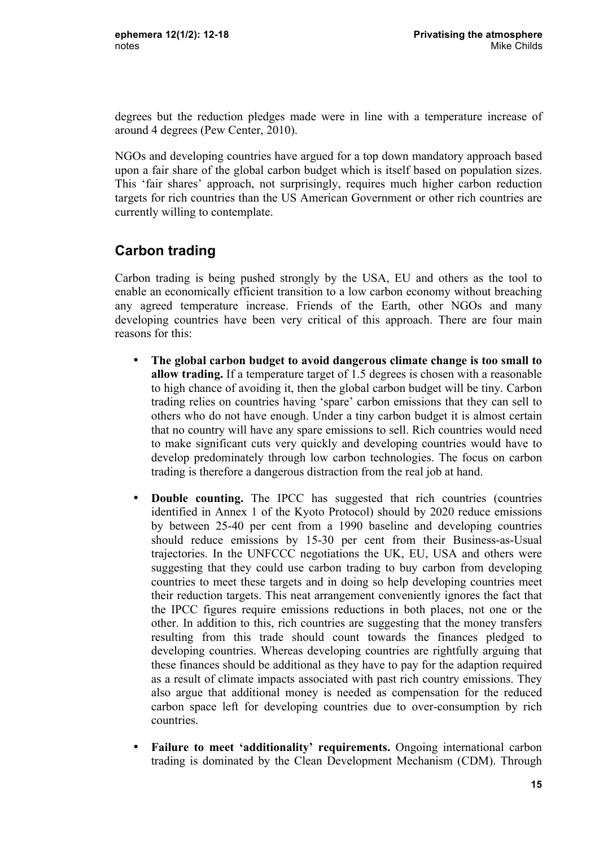degrees but the reduction pledges made were in line with a temperature increase of around 4 degrees (Pew Center, 2010).

NGOs and developing countries have argued for a top down mandatory approach based upon a fair share of the global carbon budget which is itself based on population sizes. This 'fair shares' approach, not surprisingly, requires much higher carbon reduction targets for rich countries than the US American Government or other rich countries are currently willing to contemplate.

### **Carbon trading**

Carbon trading is being pushed strongly by the USA, EU and others as the tool to enable an economically efficient transition to a low carbon economy without breaching any agreed temperature increase. Friends of the Earth, other NGOs and many developing countries have been very critical of this approach. There are four main reasons for this:

- **The global carbon budget to avoid dangerous climate change is too small to allow trading.** If a temperature target of 1.5 degrees is chosen with a reasonable to high chance of avoiding it, then the global carbon budget will be tiny. Carbon trading relies on countries having 'spare' carbon emissions that they can sell to others who do not have enough. Under a tiny carbon budget it is almost certain that no country will have any spare emissions to sell. Rich countries would need to make significant cuts very quickly and developing countries would have to develop predominately through low carbon technologies. The focus on carbon trading is therefore a dangerous distraction from the real job at hand.
- **Double counting.** The IPCC has suggested that rich countries (countries identified in Annex 1 of the Kyoto Protocol) should by 2020 reduce emissions by between 25-40 per cent from a 1990 baseline and developing countries should reduce emissions by 15-30 per cent from their Business-as-Usual trajectories. In the UNFCCC negotiations the UK, EU, USA and others were suggesting that they could use carbon trading to buy carbon from developing countries to meet these targets and in doing so help developing countries meet their reduction targets. This neat arrangement conveniently ignores the fact that the IPCC figures require emissions reductions in both places, not one or the other. In addition to this, rich countries are suggesting that the money transfers resulting from this trade should count towards the finances pledged to developing countries. Whereas developing countries are rightfully arguing that these finances should be additional as they have to pay for the adaption required as a result of climate impacts associated with past rich country emissions. They also argue that additional money is needed as compensation for the reduced carbon space left for developing countries due to over-consumption by rich countries.
- **Failure to meet 'additionality' requirements.** Ongoing international carbon trading is dominated by the Clean Development Mechanism (CDM). Through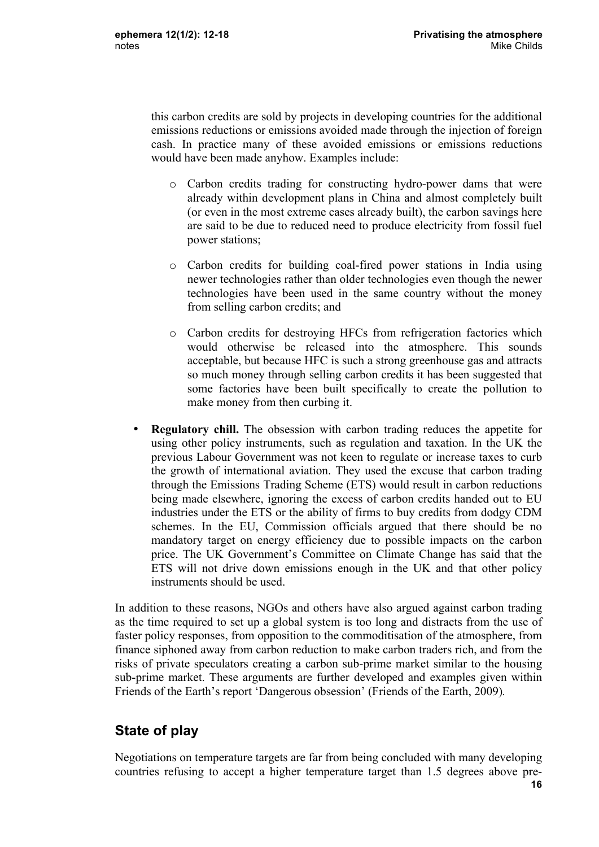this carbon credits are sold by projects in developing countries for the additional emissions reductions or emissions avoided made through the injection of foreign cash. In practice many of these avoided emissions or emissions reductions would have been made anyhow. Examples include:

- o Carbon credits trading for constructing hydro-power dams that were already within development plans in China and almost completely built (or even in the most extreme cases already built), the carbon savings here are said to be due to reduced need to produce electricity from fossil fuel power stations;
- o Carbon credits for building coal-fired power stations in India using newer technologies rather than older technologies even though the newer technologies have been used in the same country without the money from selling carbon credits; and
- o Carbon credits for destroying HFCs from refrigeration factories which would otherwise be released into the atmosphere. This sounds acceptable, but because HFC is such a strong greenhouse gas and attracts so much money through selling carbon credits it has been suggested that some factories have been built specifically to create the pollution to make money from then curbing it.
- **Regulatory chill.** The obsession with carbon trading reduces the appetite for using other policy instruments, such as regulation and taxation. In the UK the previous Labour Government was not keen to regulate or increase taxes to curb the growth of international aviation. They used the excuse that carbon trading through the Emissions Trading Scheme (ETS) would result in carbon reductions being made elsewhere, ignoring the excess of carbon credits handed out to EU industries under the ETS or the ability of firms to buy credits from dodgy CDM schemes. In the EU, Commission officials argued that there should be no mandatory target on energy efficiency due to possible impacts on the carbon price. The UK Government's Committee on Climate Change has said that the ETS will not drive down emissions enough in the UK and that other policy instruments should be used.

In addition to these reasons, NGOs and others have also argued against carbon trading as the time required to set up a global system is too long and distracts from the use of faster policy responses, from opposition to the commoditisation of the atmosphere, from finance siphoned away from carbon reduction to make carbon traders rich, and from the risks of private speculators creating a carbon sub-prime market similar to the housing sub-prime market. These arguments are further developed and examples given within Friends of the Earth's report 'Dangerous obsession' (Friends of the Earth, 2009)*.*

## **State of play**

Negotiations on temperature targets are far from being concluded with many developing countries refusing to accept a higher temperature target than 1.5 degrees above pre-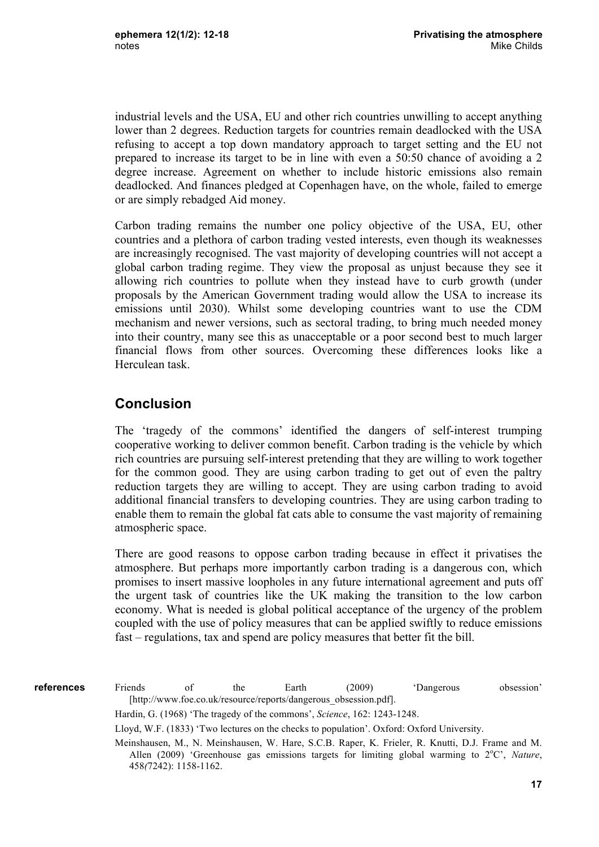industrial levels and the USA, EU and other rich countries unwilling to accept anything lower than 2 degrees. Reduction targets for countries remain deadlocked with the USA refusing to accept a top down mandatory approach to target setting and the EU not prepared to increase its target to be in line with even a 50:50 chance of avoiding a 2 degree increase. Agreement on whether to include historic emissions also remain deadlocked. And finances pledged at Copenhagen have, on the whole, failed to emerge or are simply rebadged Aid money.

Carbon trading remains the number one policy objective of the USA, EU, other countries and a plethora of carbon trading vested interests, even though its weaknesses are increasingly recognised. The vast majority of developing countries will not accept a global carbon trading regime. They view the proposal as unjust because they see it allowing rich countries to pollute when they instead have to curb growth (under proposals by the American Government trading would allow the USA to increase its emissions until 2030). Whilst some developing countries want to use the CDM mechanism and newer versions, such as sectoral trading, to bring much needed money into their country, many see this as unacceptable or a poor second best to much larger financial flows from other sources. Overcoming these differences looks like a Herculean task.

#### **Conclusion**

The 'tragedy of the commons' identified the dangers of self-interest trumping cooperative working to deliver common benefit. Carbon trading is the vehicle by which rich countries are pursuing self-interest pretending that they are willing to work together for the common good. They are using carbon trading to get out of even the paltry reduction targets they are willing to accept. They are using carbon trading to avoid additional financial transfers to developing countries. They are using carbon trading to enable them to remain the global fat cats able to consume the vast majority of remaining atmospheric space.

There are good reasons to oppose carbon trading because in effect it privatises the atmosphere. But perhaps more importantly carbon trading is a dangerous con, which promises to insert massive loopholes in any future international agreement and puts off the urgent task of countries like the UK making the transition to the low carbon economy. What is needed is global political acceptance of the urgency of the problem coupled with the use of policy measures that can be applied swiftly to reduce emissions fast – regulations, tax and spend are policy measures that better fit the bill.

Friends of the Earth (2009) 'Dangerous obsession' [http://www.foe.co.uk/resource/reports/dangerous\_obsession.pdf]. Hardin, G. (1968) 'The tragedy of the commons', *Science*, 162: 1243-1248. Lloyd, W.F. (1833) 'Two lectures on the checks to population'. Oxford: Oxford University. Meinshausen, M., N. Meinshausen, W. Hare, S.C.B. Raper, K. Frieler, R. Knutti, D.J. Frame and M. Allen (2009) 'Greenhouse gas emissions targets for limiting global warming to 2°C', Nature, **references**

458*(*7242): 1158-1162.